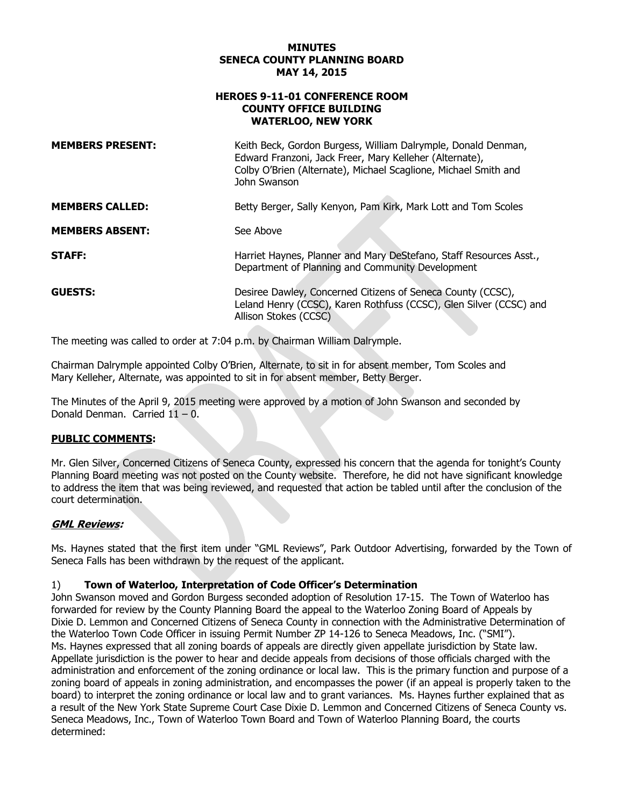### **MINUTES SENECA COUNTY PLANNING BOARD**

### 9-11-01 CONFERENCE ROOM **YORK COUNTY OFFICE BUILDING**

|                                                                                                     | <b>MINUTES</b><br><b>SENECA COUNTY PLANNING BOARD</b><br>MAY 14, 2015                                                                                                                                       |
|-----------------------------------------------------------------------------------------------------|-------------------------------------------------------------------------------------------------------------------------------------------------------------------------------------------------------------|
| <b>HEROES 9-11-01 CONFERENCE ROOM</b><br><b>COUNTY OFFICE BUILDING</b><br><b>WATERLOO, NEW YORK</b> |                                                                                                                                                                                                             |
| <b>MEMBERS PRESENT:</b>                                                                             | Keith Beck, Gordon Burgess, William Dalrymple, Donald Denman,<br>Edward Franzoni, Jack Freer, Mary Kelleher (Alternate),<br>Colby O'Brien (Alternate), Michael Scaglione, Michael Smith and<br>John Swanson |
| <b>MEMBERS CALLED:</b>                                                                              | Betty Berger, Sally Kenyon, Pam Kirk, Mark Lott and Tom Scoles                                                                                                                                              |
| <b>MEMBERS ABSENT:</b>                                                                              | See Above                                                                                                                                                                                                   |
| <b>STAFF:</b>                                                                                       | Harriet Haynes, Planner and Mary DeStefano, Staff Resources Asst.,<br>Department of Planning and Community Development                                                                                      |
| <b>GUESTS:</b>                                                                                      | Desiree Dawley, Concerned Citizens of Seneca County (CCSC),<br>Leland Henry (CCSC), Karen Rothfuss (CCSC), Glen Silver (CCSC) and<br>Allison Stokes (CCSC)                                                  |

The meeting was called to order at 7:04 p.m. by Chairman William Dalrymple.

Chairman Dalrymple appointed Colby O'Brien, Alternate, to sit in for absent member, Tom Scoles and Mary Kelleher, Alternate, was appointed to sit in for absent member, Betty Berger.

 The Minutes of the April 9, 2015 meeting were approved by a motion of John Swanson and seconded by Donald Denman. Carried 11 – 0.

# **PUBLIC COMMENTS:**

Planning Board meeting was not posted on the County website. Therefore, he did not have significant knowledge Mr. Glen Silver, Concerned Citizens of Seneca County, expressed his concern that the agenda for tonight's County Planning Board meeting was not posted on the County website. Therefore, he did not have significant knowledge<br>to address the item that was being reviewed, and requested that action be tabled until after the conclusion of t

# **GML Reviews:**

 Ms. Haynes stated that the first item under "GML Reviews", Park Outdoor Advertising, forwarded by the Town of Seneca Falls has been withdrawn by the request of the applicant.

# 1) **Town of Waterloo, Interpretation of Code Officer's Determination**

John Swanson moved and Gordon Burgess seconded adoption of Resolution 17-15. The Town of Waterloo has forwarded for review by the County Planning Board the appeal to the Waterloo Zoning Board of Appeals by Dixie D. Lemmon and Concerned Citizens of Seneca County in connection with the Administrative Determination of the Waterloo Town Code Officer in issuing Permit Number ZP 14-126 to Seneca Meadows, Inc. ("SMI"). Ms. Haynes expressed that all zoning boards of appeals are directly given appellate jurisdiction by State law. Appellate jurisdiction is the power to hear and decide appeals from decisions of those officials charged with the administration and enforcement of the zoning ordinance or local law. This is the primary function and purpose of a zoning board of appeals in zoning administration, and encompasses the power (if an appeal is properly taken to the board) to interpret the zoning ordinance or local law and to grant variances. Ms. Haynes further explained that as a result of the New York State Supreme Court Case Dixie D. Lemmon and Concerned Citizens of Seneca County vs. Seneca Meadows, Inc., Town of Waterloo Town Board and Town of Waterloo Planning Board, the courts determined: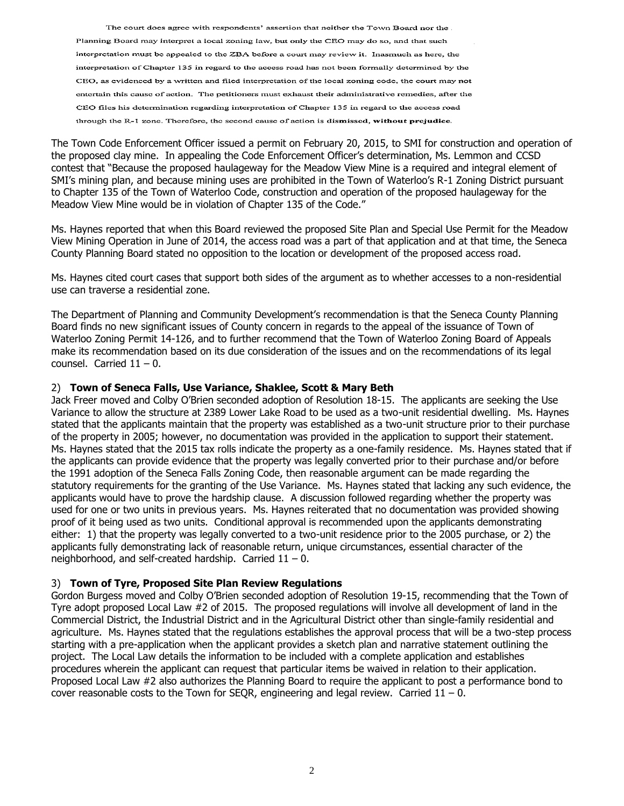The court does agree with respondents' assertion that neither the Town Board nor the. Planning Board may interpret a local zoning law, but only the CEO may do so, and that such interpretation must be appealed to the ZBA before a court may review it. Inasmuch as here, the interpretation of Chapter 135 in regard to the access road has not been formally determined by the CEO, as evidenced by a written and filed interpretation of the local zoning code, the court may not entertain this cause of action. The petitioners must exhaust their administrative remedies, after the CEO files his determination regarding interpretation of Chapter 135 in regard to the access road through the R-1 zone. Therefore, the second cause of action is dismissed, without prejudice.

The Town Code Enforcement Officer issued a permit on February 20, 2015, to SMI for construction and operation of the proposed clay mine. In appealing the Code Enforcement Officer's determination, Ms. Lemmon and CCSD contest that "Because the proposed haulageway for the Meadow View Mine is a required and integral element of SMI's mining plan, and because mining uses are prohibited in the Town of Waterloo's R-1 Zoning District pursuant to Chapter 135 of the Town of Waterloo Code, construction and operation of the proposed haulageway for the Meadow View Mine would be in violation of Chapter 135 of the Code."

Ms. Haynes reported that when this Board reviewed the proposed Site Plan and Special Use Permit for the Meadow View Mining Operation in June of 2014, the access road was a part of that application and at that time, the Seneca County Planning Board stated no opposition to the location or development of the proposed access road.

Ms. Haynes cited court cases that support both sides of the argument as to whether accesses to a non-residential use can traverse a residential zone.

counsel. Carried  $11 - 0$ . The Department of Planning and Community Development's recommendation is that the Seneca County Planning Board finds no new significant issues of County concern in regards to the appeal of the issuance of Town of Waterloo Zoning Permit 14-126, and to further recommend that the Town of Waterloo Zoning Board of Appeals make its recommendation based on its due consideration of the issues and on the recommendations of its legal

### 2) **Town of Seneca Falls, Use Variance, Shaklee, Scott & Mary Beth**

 used for one or two units in previous years. Ms. Haynes reiterated that no documentation was provided showing neighborhood, and self-created hardship. Carried 11 – 0. Jack Freer moved and Colby O'Brien seconded adoption of Resolution 18-15. The applicants are seeking the Use Variance to allow the structure at 2389 Lower Lake Road to be used as a two-unit residential dwelling. Ms. Haynes stated that the applicants maintain that the property was established as a two-unit structure prior to their purchase of the property in 2005; however, no documentation was provided in the application to support their statement. Ms. Haynes stated that the 2015 tax rolls indicate the property as a one-family residence. Ms. Haynes stated that if the applicants can provide evidence that the property was legally converted prior to their purchase and/or before the 1991 adoption of the Seneca Falls Zoning Code, then reasonable argument can be made regarding the statutory requirements for the granting of the Use Variance. Ms. Haynes stated that lacking any such evidence, the applicants would have to prove the hardship clause. A discussion followed regarding whether the property was proof of it being used as two units. Conditional approval is recommended upon the applicants demonstrating either: 1) that the property was legally converted to a two-unit residence prior to the 2005 purchase, or 2) the applicants fully demonstrating lack of reasonable return, unique circumstances, essential character of the

# 3) **Town of Tyre, Proposed Site Plan Review Regulations**

cover reasonable costs to the Town for SEQR, engineering and legal review. Carried  $11 - 0$ . Gordon Burgess moved and Colby O'Brien seconded adoption of Resolution 19-15, recommending that the Town of Tyre adopt proposed Local Law #2 of 2015. The proposed regulations will involve all development of land in the Commercial District, the Industrial District and in the Agricultural District other than single-family residential and agriculture. Ms. Haynes stated that the regulations establishes the approval process that will be a two-step process starting with a pre-application when the applicant provides a sketch plan and narrative statement outlining the project. The Local Law details the information to be included with a complete application and establishes procedures wherein the applicant can request that particular items be waived in relation to their application. Proposed Local Law #2 also authorizes the Planning Board to require the applicant to post a performance bond to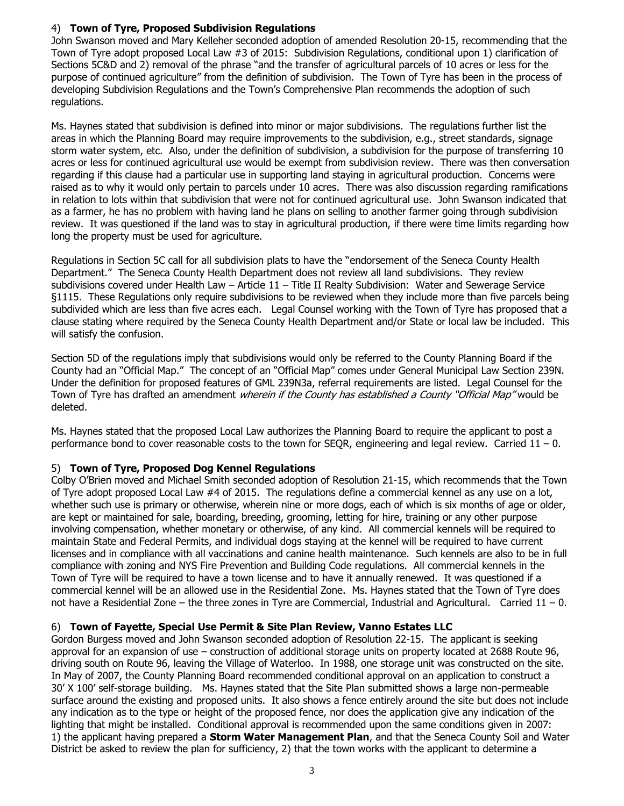# 4) **Town of Tyre, Proposed Subdivision Regulations**

 developing Subdivision Regulations and the Town's Comprehensive Plan recommends the adoption of such John Swanson moved and Mary Kelleher seconded adoption of amended Resolution 20-15, recommending that the Town of Tyre adopt proposed Local Law #3 of 2015: Subdivision Regulations, conditional upon 1) clarification of Sections 5C&D and 2) removal of the phrase "and the transfer of agricultural parcels of 10 acres or less for the purpose of continued agriculture" from the definition of subdivision. The Town of Tyre has been in the process of regulations.

Ms. Haynes stated that subdivision is defined into minor or major subdivisions. The regulations further list the areas in which the Planning Board may require improvements to the subdivision, e.g., street standards, signage storm water system, etc. Also, under the definition of subdivision, a subdivision for the purpose of transferring 10 acres or less for continued agricultural use would be exempt from subdivision review. There was then conversation regarding if this clause had a particular use in supporting land staying in agricultural production. Concerns were raised as to why it would only pertain to parcels under 10 acres. There was also discussion regarding ramifications in relation to lots within that subdivision that were not for continued agricultural use. John Swanson indicated that as a farmer, he has no problem with having land he plans on selling to another farmer going through subdivision review. It was questioned if the land was to stay in agricultural production, if there were time limits regarding how long the property must be used for agriculture.

 subdivisions covered under Health Law – Article 11 – Title II Realty Subdivision: Water and Sewerage Service subdivided which are less than five acres each. Legal Counsel working with the Town of Tyre has proposed that a Regulations in Section 5C call for all subdivision plats to have the "endorsement of the Seneca County Health Department." The Seneca County Health Department does not review all land subdivisions. They review §1115. These Regulations only require subdivisions to be reviewed when they include more than five parcels being clause stating where required by the Seneca County Health Department and/or State or local law be included. This will satisfy the confusion.

Section 5D of the regulations imply that subdivisions would only be referred to the County Planning Board if the County had an "Official Map." The concept of an "Official Map" comes under General Municipal Law Section 239N. Under the definition for proposed features of GML 239N3a, referral requirements are listed. Legal Counsel for the Town of Tyre has drafted an amendment *wherein if the County has established a County "Official Map"* would be deleted.

 performance bond to cover reasonable costs to the town for SEQR, engineering and legal review. Carried 11 – 0. Ms. Haynes stated that the proposed Local Law authorizes the Planning Board to require the applicant to post a

# 5) **Town of Tyre, Proposed Dog Kennel Regulations**

 not have a Residential Zone – the three zones in Tyre are Commercial, Industrial and Agricultural. Carried 11 – 0. Colby O'Brien moved and Michael Smith seconded adoption of Resolution 21-15, which recommends that the Town of Tyre adopt proposed Local Law #4 of 2015. The regulations define a commercial kennel as any use on a lot, whether such use is primary or otherwise, wherein nine or more dogs, each of which is six months of age or older, are kept or maintained for sale, boarding, breeding, grooming, letting for hire, training or any other purpose involving compensation, whether monetary or otherwise, of any kind. All commercial kennels will be required to maintain State and Federal Permits, and individual dogs staying at the kennel will be required to have current licenses and in compliance with all vaccinations and canine health maintenance. Such kennels are also to be in full compliance with zoning and NYS Fire Prevention and Building Code regulations. All commercial kennels in the Town of Tyre will be required to have a town license and to have it annually renewed. It was questioned if a commercial kennel will be an allowed use in the Residential Zone. Ms. Haynes stated that the Town of Tyre does

# 6) **Town of Fayette, Special Use Permit & Site Plan Review, Vanno Estates LLC**

 approval for an expansion of use – construction of additional storage units on property located at 2688 Route 96, In May of 2007, the County Planning Board recommended conditional approval on an application to construct a any indication as to the type or height of the proposed fence, nor does the application give any indication of the lighting that might be installed. Conditional approval is recommended upon the same conditions given in 2007: District be asked to review the plan for sufficiency, 2) that the town works with the applicant to determine a Gordon Burgess moved and John Swanson seconded adoption of Resolution 22-15. The applicant is seeking driving south on Route 96, leaving the Village of Waterloo. In 1988, one storage unit was constructed on the site. 30' X 100' self-storage building. Ms. Haynes stated that the Site Plan submitted shows a large non-permeable surface around the existing and proposed units. It also shows a fence entirely around the site but does not include 1) the applicant having prepared a **Storm Water Management Plan**, and that the Seneca County Soil and Water